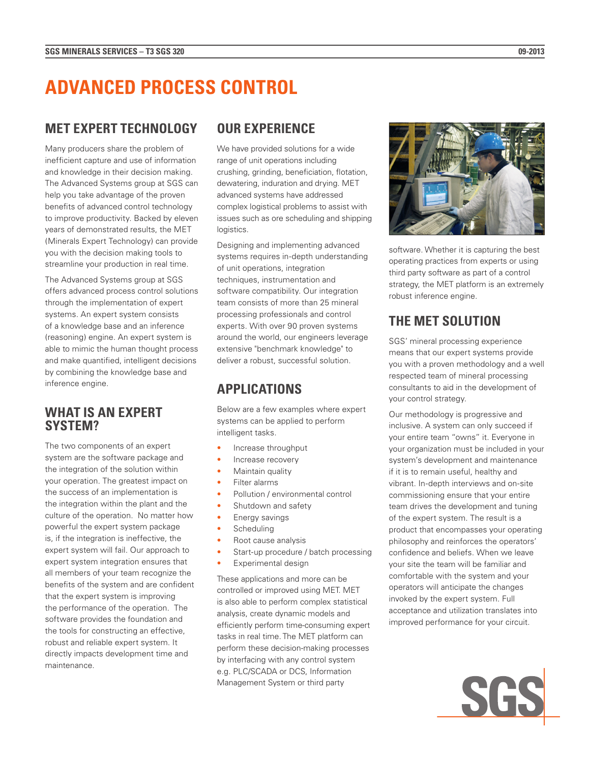# **ADVANCED PROCESS CONTROL**

### **MET EXPERT TECHNOLOGY**

Many producers share the problem of inefficient capture and use of information and knowledge in their decision making. The Advanced Systems group at SGS can help you take advantage of the proven benefits of advanced control technology to improve productivity. Backed by eleven years of demonstrated results, the MET (Minerals Expert Technology) can provide you with the decision making tools to streamline your production in real time.

The Advanced Systems group at SGS offers advanced process control solutions through the implementation of expert systems. An expert system consists of a knowledge base and an inference (reasoning) engine. An expert system is able to mimic the human thought process and make quantified, intelligent decisions by combining the knowledge base and inference engine.

#### **WHAT IS AN EXPERT SYSTEM?**

The two components of an expert system are the software package and the integration of the solution within your operation. The greatest impact on the success of an implementation is the integration within the plant and the culture of the operation. No matter how powerful the expert system package is, if the integration is ineffective, the expert system will fail. Our approach to expert system integration ensures that all members of your team recognize the benefits of the system and are confident that the expert system is improving the performance of the operation. The software provides the foundation and the tools for constructing an effective, robust and reliable expert system. It directly impacts development time and maintenance.

### **OUR EXPERIENCE**

We have provided solutions for a wide range of unit operations including crushing, grinding, beneficiation, flotation, dewatering, induration and drying. MET advanced systems have addressed complex logistical problems to assist with issues such as ore scheduling and shipping logistics.

Designing and implementing advanced systems requires in-depth understanding of unit operations, integration techniques, instrumentation and software compatibility. Our integration team consists of more than 25 mineral processing professionals and control experts. With over 90 proven systems around the world, our engineers leverage extensive "benchmark knowledge" to deliver a robust, successful solution.

## **APPLICATIONS**

Below are a few examples where expert systems can be applied to perform intelligent tasks.

- Increase throughput
- Increase recovery
- Maintain quality
- Filter alarms
- Pollution / environmental control
- Shutdown and safety
- Energy savings
- Scheduling
- Root cause analysis
- Start-up procedure / batch processing
	- Experimental design

These applications and more can be controlled or improved using MET. MET is also able to perform complex statistical analysis, create dynamic models and efficiently perform time-consuming expert tasks in real time. The MET platform can perform these decision-making processes by interfacing with any control system e.g. PLC/SCADA or DCS, Information Management System or third party



software. Whether it is capturing the best operating practices from experts or using third party software as part of a control strategy, the MET platform is an extremely robust inference engine.

# **THE MET SOLUTION**

SGS' mineral processing experience means that our expert systems provide you with a proven methodology and a well respected team of mineral processing consultants to aid in the development of your control strategy.

Our methodology is progressive and inclusive. A system can only succeed if your entire team "owns" it. Everyone in your organization must be included in your system's development and maintenance if it is to remain useful, healthy and vibrant. In-depth interviews and on-site commissioning ensure that your entire team drives the development and tuning of the expert system. The result is a product that encompasses your operating philosophy and reinforces the operators' confidence and beliefs. When we leave your site the team will be familiar and comfortable with the system and your operators will anticipate the changes invoked by the expert system. Full acceptance and utilization translates into improved performance for your circuit.